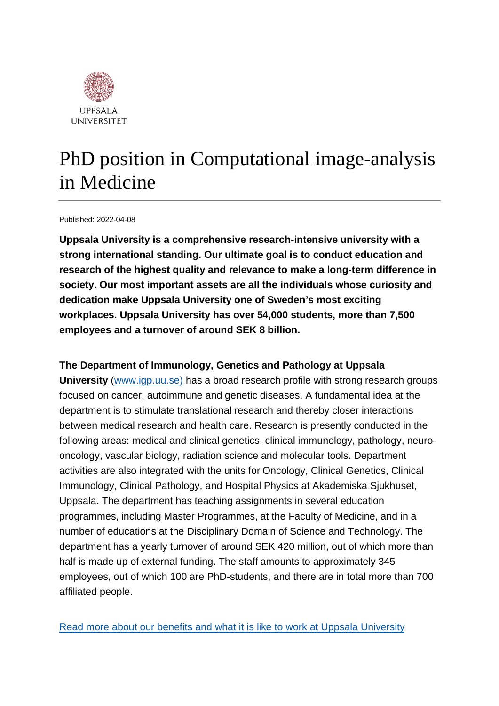

# PhD position in Computational image-analysis in Medicine

#### Published: 2022-04-08

**Uppsala University is a comprehensive research-intensive university with a strong international standing. Our ultimate goal is to conduct education and research of the highest quality and relevance to make a long-term difference in society. Our most important assets are all the individuals whose curiosity and dedication make Uppsala University one of Sweden's most exciting workplaces. Uppsala University has over 54,000 students, more than 7,500 employees and a turnover of around SEK 8 billion.**

#### **The Department of Immunology, Genetics and Pathology at Uppsala**

**University** [\(www.igp.uu.se\)](http://www.igp.uu.se/) has a broad research profile with strong research groups focused on cancer, autoimmune and genetic diseases. A fundamental idea at the department is to stimulate translational research and thereby closer interactions between medical research and health care. Research is presently conducted in the following areas: medical and clinical genetics, clinical immunology, pathology, neurooncology, vascular biology, radiation science and molecular tools. Department activities are also integrated with the units for Oncology, Clinical Genetics, Clinical Immunology, Clinical Pathology, and Hospital Physics at Akademiska Sjukhuset, Uppsala. The department has teaching assignments in several education programmes, including Master Programmes, at the Faculty of Medicine, and in a number of educations at the Disciplinary Domain of Science and Technology. The department has a yearly turnover of around SEK 420 million, out of which more than half is made up of external funding. The staff amounts to approximately 345 employees, out of which 100 are PhD-students, and there are in total more than 700 affiliated people.

[Read more about our benefits and what it is like to work at Uppsala University](https://www.uu.se/en/about-uu/join-us/)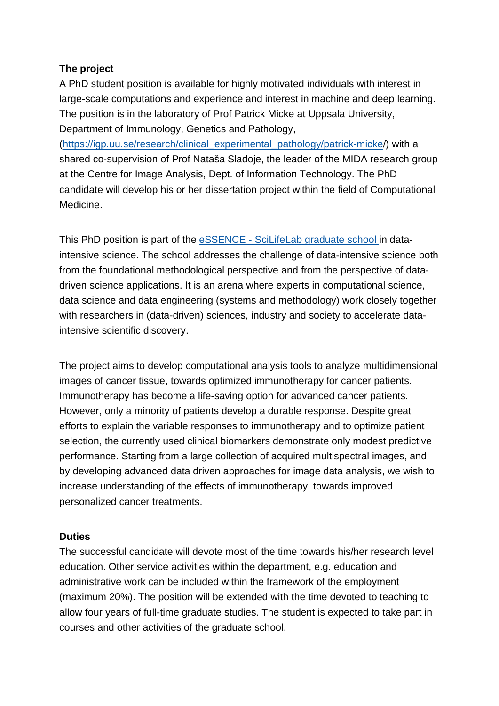#### **The project**

A PhD student position is available for highly motivated individuals with interest in large-scale computations and experience and interest in machine and deep learning. The position is in the laboratory of Prof Patrick Micke at Uppsala University, Department of Immunology, Genetics and Pathology,

[\(https://igp.uu.se/research/clinical\\_experimental\\_pathology/patrick-micke/](https://igp.uu.se/research/clinical_experimental_pathology/patrick-micke)) with a shared co-supervision of Prof Nataša Sladoje, the leader of the MIDA research group at the Centre for Image Analysis, Dept. of Information Technology. The PhD candidate will develop his or her dissertation project within the field of Computational Medicine.

This PhD position is part of the eSSENCE - [SciLifeLab graduate school](https://essenceofescience.se/essence-and-scilifelab-graduate-school-in-data-intensive-science/) in dataintensive science. The school addresses the challenge of data-intensive science both from the foundational methodological perspective and from the perspective of datadriven science applications. It is an arena where experts in computational science, data science and data engineering (systems and methodology) work closely together with researchers in (data-driven) sciences, industry and society to accelerate dataintensive scientific discovery.

The project aims to develop computational analysis tools to analyze multidimensional images of cancer tissue, towards optimized immunotherapy for cancer patients. Immunotherapy has become a life-saving option for advanced cancer patients. However, only a minority of patients develop a durable response. Despite great efforts to explain the variable responses to immunotherapy and to optimize patient selection, the currently used clinical biomarkers demonstrate only modest predictive performance. Starting from a large collection of acquired multispectral images, and by developing advanced data driven approaches for image data analysis, we wish to increase understanding of the effects of immunotherapy, towards improved personalized cancer treatments.

#### **Duties**

The successful candidate will devote most of the time towards his/her research level education. Other service activities within the department, e.g. education and administrative work can be included within the framework of the employment (maximum 20%). The position will be extended with the time devoted to teaching to allow four years of full-time graduate studies. The student is expected to take part in courses and other activities of the graduate school.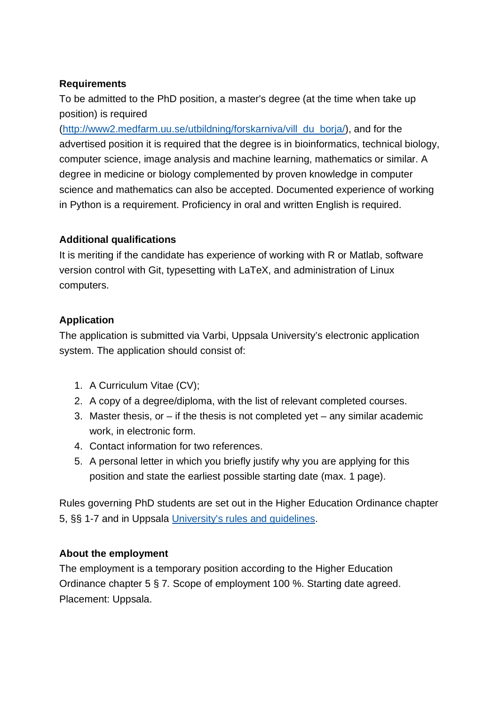#### **Requirements**

To be admitted to the PhD position, a master's degree (at the time when take up position) is required

[\(http://www2.medfarm.uu.se/utbildning/forskarniva/vill\\_du\\_borja/\)](http://www2.medfarm.uu.se/utbildning/forskarniva/vill_du_borja/), and for the advertised position it is required that the degree is in bioinformatics, technical biology, computer science, image analysis and machine learning, mathematics or similar. A degree in medicine or biology complemented by proven knowledge in computer science and mathematics can also be accepted. Documented experience of working in Python is a requirement. Proficiency in oral and written English is required.

#### **Additional qualifications**

It is meriting if the candidate has experience of working with R or Matlab, software version control with Git, typesetting with LaTeX, and administration of Linux computers.

## **Application**

The application is submitted via Varbi, Uppsala University's electronic application system. The application should consist of:

- 1. A Curriculum Vitae (CV);
- 2. A copy of a degree/diploma, with the list of relevant completed courses.
- 3. Master thesis, or  $-$  if the thesis is not completed yet  $-$  any similar academic work, in electronic form.
- 4. Contact information for two references.
- 5. A personal letter in which you briefly justify why you are applying for this position and state the earliest possible starting date (max. 1 page).

Rules governing PhD students are set out in the Higher Education Ordinance chapter 5, §§ 1-7 and in Uppsala [University's rules and guidelines.](https://uu.varbi.com/center/tool/position/493481/edit/tab:2/University)

## **About the employment**

The employment is a temporary position according to the Higher Education Ordinance chapter 5 § 7*.* Scope of employment 100 %. Starting date agreed. Placement: Uppsala.